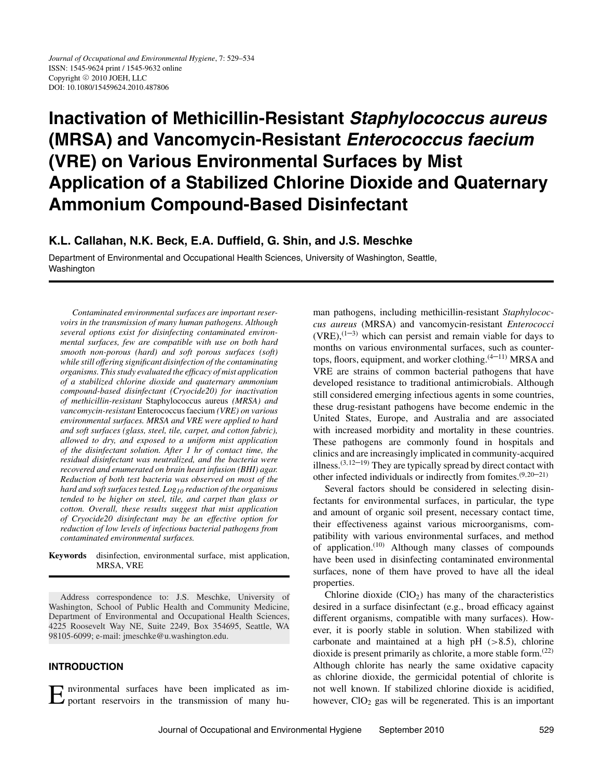# **Inactivation of Methicillin-Resistant Staphylococcus aureus (MRSA) and Vancomycin-Resistant Enterococcus faecium (VRE) on Various Environmental Surfaces by Mist Application of a Stabilized Chlorine Dioxide and Quaternary Ammonium Compound-Based Disinfectant**

# **K.L. Callahan, N.K. Beck, E.A. Duffield, G. Shin, and J.S. Meschke**

Department of Environmental and Occupational Health Sciences, University of Washington, Seattle, Washington

*Contaminated environmental surfaces are important reservoirs in the transmission of many human pathogens. Although several options exist for disinfecting contaminated environmental surfaces, few are compatible with use on both hard smooth non-porous (hard) and soft porous surfaces (soft) while still offering significant disinfection of the contaminating organisms. This study evaluated the efficacy of mist application of a stabilized chlorine dioxide and quaternary ammonium compound-based disinfectant (Cryocide20) for inactivation of methicillin-resistant* Staphylococcus aureus *(MRSA) and vancomycin-resistant* Enterococcus faecium *(VRE) on various environmental surfaces. MRSA and VRE were applied to hard and soft surfaces (glass, steel, tile, carpet, and cotton fabric), allowed to dry, and exposed to a uniform mist application of the disinfectant solution. After 1 hr of contact time, the residual disinfectant was neutralized, and the bacteria were recovered and enumerated on brain heart infusion (BHI) agar. Reduction of both test bacteria was observed on most of the hard and soft surfaces tested. Log10 reduction of the organisms tended to be higher on steel, tile, and carpet than glass or cotton. Overall, these results suggest that mist application of Cryocide20 disinfectant may be an effective option for reduction of low levels of infectious bacterial pathogens from contaminated environmental surfaces.*

**Keywords** disinfection, environmental surface, mist application, MRSA, VRE

Address correspondence to: J.S. Meschke, University of Washington, School of Public Health and Community Medicine, Department of Environmental and Occupational Health Sciences, 4225 Roosevelt Way NE, Suite 2249, Box 354695, Seattle, WA 98105-6099; e-mail: jmeschke@u.washington.edu.

# **INTRODUCTION**

Environmental surfaces have been implicated as im-portant reservoirs in the transmission of many hu-

man pathogens, including methicillin-resistant *Staphylococcus aureus* (MRSA) and vancomycin-resistant *Enterococci*  $(VRE)$ ,  $(1-3)$  which can persist and remain viable for days to months on various environmental surfaces, such as countertops, floors, equipment, and worker clothing.<sup>(4–11)</sup> MRSA and VRE are strains of common bacterial pathogens that have developed resistance to traditional antimicrobials. Although still considered emerging infectious agents in some countries, these drug-resistant pathogens have become endemic in the United States, Europe, and Australia and are associated with increased morbidity and mortality in these countries. These pathogens are commonly found in hospitals and clinics and are increasingly implicated in community-acquired illness.(3*,*12–19) They are typically spread by direct contact with other infected individuals or indirectly from fomites.(9*,*20–21)

Several factors should be considered in selecting disinfectants for environmental surfaces, in particular, the type and amount of organic soil present, necessary contact time, their effectiveness against various microorganisms, compatibility with various environmental surfaces, and method of application.(10) Although many classes of compounds have been used in disinfecting contaminated environmental surfaces, none of them have proved to have all the ideal properties.

Chlorine dioxide  $(CIO<sub>2</sub>)$  has many of the characteristics desired in a surface disinfectant (e.g., broad efficacy against different organisms, compatible with many surfaces). However, it is poorly stable in solution. When stabilized with carbonate and maintained at a high pH (*>*8.5), chlorine dioxide is present primarily as chlorite, a more stable form.(22) Although chlorite has nearly the same oxidative capacity as chlorine dioxide, the germicidal potential of chlorite is not well known. If stabilized chlorine dioxide is acidified, however,  $ClO<sub>2</sub>$  gas will be regenerated. This is an important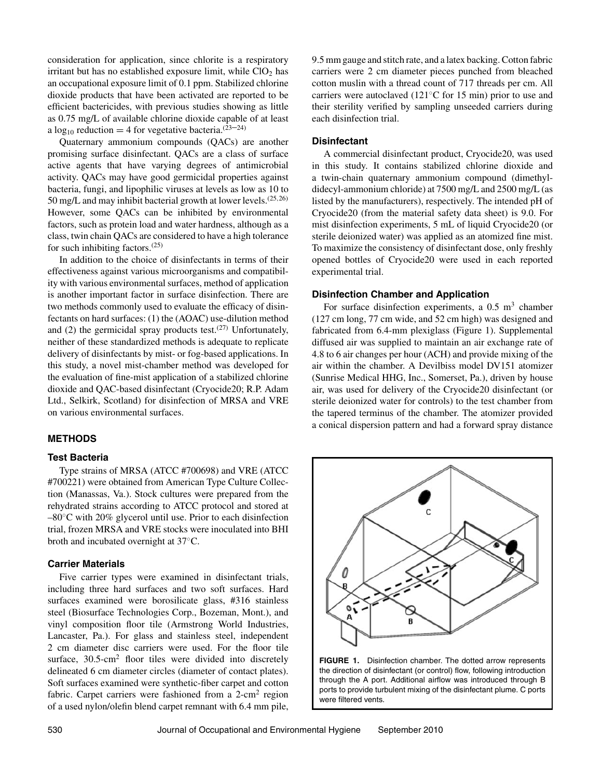consideration for application, since chlorite is a respiratory irritant but has no established exposure limit, while  $ClO<sub>2</sub>$  has an occupational exposure limit of 0.1 ppm. Stabilized chlorine dioxide products that have been activated are reported to be efficient bactericides, with previous studies showing as little as 0.75 mg/L of available chlorine dioxide capable of at least a  $log_{10}$  reduction = 4 for vegetative bacteria.<sup>(23–24)</sup>

Quaternary ammonium compounds (QACs) are another promising surface disinfectant. QACs are a class of surface active agents that have varying degrees of antimicrobial activity. QACs may have good germicidal properties against bacteria, fungi, and lipophilic viruses at levels as low as 10 to 50 mg/L and may inhibit bacterial growth at lower levels.(25*,*26) However, some QACs can be inhibited by environmental factors, such as protein load and water hardness, although as a class, twin chain QACs are considered to have a high tolerance for such inhibiting factors. $(25)$ 

In addition to the choice of disinfectants in terms of their effectiveness against various microorganisms and compatibility with various environmental surfaces, method of application is another important factor in surface disinfection. There are two methods commonly used to evaluate the efficacy of disinfectants on hard surfaces: (1) the (AOAC) use-dilution method and (2) the germicidal spray products test. $(27)$  Unfortunately, neither of these standardized methods is adequate to replicate delivery of disinfectants by mist- or fog-based applications. In this study, a novel mist-chamber method was developed for the evaluation of fine-mist application of a stabilized chlorine dioxide and QAC-based disinfectant (Cryocide20; R.P. Adam Ltd., Selkirk, Scotland) for disinfection of MRSA and VRE on various environmental surfaces.

#### **METHODS**

#### **Test Bacteria**

Type strains of MRSA (ATCC #700698) and VRE (ATCC #700221) were obtained from American Type Culture Collection (Manassas, Va.). Stock cultures were prepared from the rehydrated strains according to ATCC protocol and stored at –80◦C with 20% glycerol until use. Prior to each disinfection trial, frozen MRSA and VRE stocks were inoculated into BHI broth and incubated overnight at 37◦C.

#### **Carrier Materials**

Five carrier types were examined in disinfectant trials, including three hard surfaces and two soft surfaces. Hard surfaces examined were borosilicate glass, #316 stainless steel (Biosurface Technologies Corp., Bozeman, Mont.), and vinyl composition floor tile (Armstrong World Industries, Lancaster, Pa.). For glass and stainless steel, independent 2 cm diameter disc carriers were used. For the floor tile surface,  $30.5 \text{-cm}^2$  floor tiles were divided into discretely delineated 6 cm diameter circles (diameter of contact plates). Soft surfaces examined were synthetic-fiber carpet and cotton fabric. Carpet carriers were fashioned from a 2-cm<sup>2</sup> region of a used nylon/olefin blend carpet remnant with 6.4 mm pile,

9.5 mm gauge and stitch rate, and a latex backing. Cotton fabric carriers were 2 cm diameter pieces punched from bleached cotton muslin with a thread count of 717 threads per cm. All carriers were autoclaved (121◦C for 15 min) prior to use and their sterility verified by sampling unseeded carriers during each disinfection trial.

# **Disinfectant**

A commercial disinfectant product, Cryocide20, was used in this study. It contains stabilized chlorine dioxide and a twin-chain quaternary ammonium compound (dimethyldidecyl-ammonium chloride) at 7500 mg/L and 2500 mg/L (as listed by the manufacturers), respectively. The intended pH of Cryocide20 (from the material safety data sheet) is 9.0. For mist disinfection experiments, 5 mL of liquid Cryocide20 (or sterile deionized water) was applied as an atomized fine mist. To maximize the consistency of disinfectant dose, only freshly opened bottles of Cryocide20 were used in each reported experimental trial.

#### **Disinfection Chamber and Application**

For surface disinfection experiments, a  $0.5 \text{ m}^3$  chamber (127 cm long, 77 cm wide, and 52 cm high) was designed and fabricated from 6.4-mm plexiglass (Figure 1). Supplemental diffused air was supplied to maintain an air exchange rate of 4.8 to 6 air changes per hour (ACH) and provide mixing of the air within the chamber. A Devilbiss model DV151 atomizer (Sunrise Medical HHG, Inc., Somerset, Pa.), driven by house air, was used for delivery of the Cryocide20 disinfectant (or sterile deionized water for controls) to the test chamber from the tapered terminus of the chamber. The atomizer provided a conical dispersion pattern and had a forward spray distance



**FIGURE 1.** Disinfection chamber. The dotted arrow represents the direction of disinfectant (or control) flow, following introduction through the A port. Additional airflow was introduced through B ports to provide turbulent mixing of the disinfectant plume. C ports were filtered vents.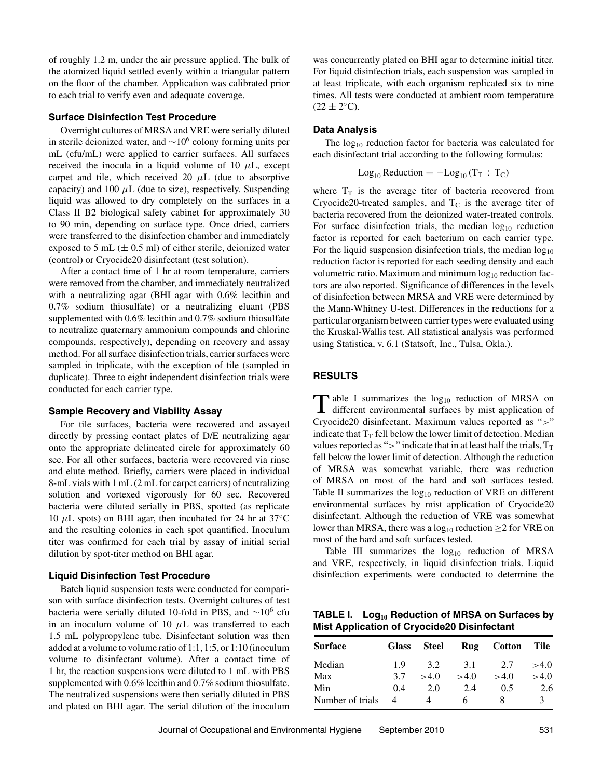of roughly 1.2 m, under the air pressure applied. The bulk of the atomized liquid settled evenly within a triangular pattern on the floor of the chamber. Application was calibrated prior to each trial to verify even and adequate coverage.

# **Surface Disinfection Test Procedure**

Overnight cultures of MRSA and VRE were serially diluted in sterile deionized water, and  $\sim$ 10<sup>6</sup> colony forming units per mL (cfu/mL) were applied to carrier surfaces. All surfaces received the inocula in a liquid volume of 10  $\mu$ L, except carpet and tile, which received 20  $\mu$ L (due to absorptive capacity) and 100  $\mu$ L (due to size), respectively. Suspending liquid was allowed to dry completely on the surfaces in a Class II B2 biological safety cabinet for approximately 30 to 90 min, depending on surface type. Once dried, carriers were transferred to the disinfection chamber and immediately exposed to 5 mL  $(\pm 0.5 \text{ ml})$  of either sterile, deionized water (control) or Cryocide20 disinfectant (test solution).

After a contact time of 1 hr at room temperature, carriers were removed from the chamber, and immediately neutralized with a neutralizing agar (BHI agar with 0.6% lecithin and 0.7% sodium thiosulfate) or a neutralizing eluant (PBS supplemented with 0.6% lecithin and 0.7% sodium thiosulfate to neutralize quaternary ammonium compounds and chlorine compounds, respectively), depending on recovery and assay method. For all surface disinfection trials, carrier surfaces were sampled in triplicate, with the exception of tile (sampled in duplicate). Three to eight independent disinfection trials were conducted for each carrier type.

#### **Sample Recovery and Viability Assay**

For tile surfaces, bacteria were recovered and assayed directly by pressing contact plates of D/E neutralizing agar onto the appropriate delineated circle for approximately 60 sec. For all other surfaces, bacteria were recovered via rinse and elute method. Briefly, carriers were placed in individual 8-mL vials with 1 mL (2 mL for carpet carriers) of neutralizing solution and vortexed vigorously for 60 sec. Recovered bacteria were diluted serially in PBS, spotted (as replicate 10  $\mu$ L spots) on BHI agar, then incubated for 24 hr at 37 $\degree$ C and the resulting colonies in each spot quantified. Inoculum titer was confirmed for each trial by assay of initial serial dilution by spot-titer method on BHI agar.

#### **Liquid Disinfection Test Procedure**

Batch liquid suspension tests were conducted for comparison with surface disinfection tests. Overnight cultures of test bacteria were serially diluted 10-fold in PBS, and  $\sim$ 10<sup>6</sup> cfu in an inoculum volume of 10 *µ*L was transferred to each 1.5 mL polypropylene tube. Disinfectant solution was then added at a volume to volume ratio of 1:1, 1:5, or 1:10 (inoculum volume to disinfectant volume). After a contact time of 1 hr, the reaction suspensions were diluted to 1 mL with PBS supplemented with 0.6% lecithin and 0.7% sodium thiosulfate. The neutralized suspensions were then serially diluted in PBS and plated on BHI agar. The serial dilution of the inoculum was concurrently plated on BHI agar to determine initial titer. For liquid disinfection trials, each suspension was sampled in at least triplicate, with each organism replicated six to nine times. All tests were conducted at ambient room temperature  $(22 \pm 2$ <sup>°</sup>C).

#### **Data Analysis**

The  $log_{10}$  reduction factor for bacteria was calculated for each disinfectant trial according to the following formulas:

$$
Log_{10} Reduction = -Log_{10}(T_T \div T_C)
$$

where  $T_T$  is the average titer of bacteria recovered from Cryocide20-treated samples, and  $T_c$  is the average titer of bacteria recovered from the deionized water-treated controls. For surface disinfection trials, the median  $log_{10}$  reduction factor is reported for each bacterium on each carrier type. For the liquid suspension disinfection trials, the median  $log_{10}$ reduction factor is reported for each seeding density and each volumetric ratio. Maximum and minimum  $log_{10}$  reduction factors are also reported. Significance of differences in the levels of disinfection between MRSA and VRE were determined by the Mann-Whitney U-test. Differences in the reductions for a particular organism between carrier types were evaluated using the Kruskal-Wallis test. All statistical analysis was performed using Statistica, v. 6.1 (Statsoft, Inc., Tulsa, Okla.).

#### **RESULTS**

 $\prod$  able I summarizes the log<sub>10</sub> reduction of MRSA on different environmental surfaces by mist application of Cryocide20 disinfectant. Maximum values reported as "*>*" indicate that  $T_T$  fell below the lower limit of detection. Median values reported as " $>$ " indicate that in at least half the trials,  $T_T$ fell below the lower limit of detection. Although the reduction of MRSA was somewhat variable, there was reduction of MRSA on most of the hard and soft surfaces tested. Table II summarizes the  $log_{10}$  reduction of VRE on different environmental surfaces by mist application of Cryocide20 disinfectant. Although the reduction of VRE was somewhat lower than MRSA, there was a  $log_{10}$  reduction  $\geq$  2 for VRE on most of the hard and soft surfaces tested.

Table III summarizes the  $log_{10}$  reduction of MRSA and VRE, respectively, in liquid disinfection trials. Liquid disinfection experiments were conducted to determine the

| TABLE I. $Log_{10}$ Reduction of MRSA on Surfaces by |  |  |
|------------------------------------------------------|--|--|
| <b>Mist Application of Cryocide20 Disinfectant</b>   |  |  |

| <b>Surface</b>   | <b>Glass</b> | Steel | Rug  | <b>Cotton</b> | <b>Tile</b> |
|------------------|--------------|-------|------|---------------|-------------|
| Median           | 19           | 3.2   | 3.1  | 2.7           | >4.0        |
| Max              | 3.7          | >4.0  | >4.0 | >4.0          | >4.0        |
| Min              | 0.4          | 2.0   | 2.4  | 0.5           | 2.6         |
| Number of trials | 4            |       | h    | x             | 2           |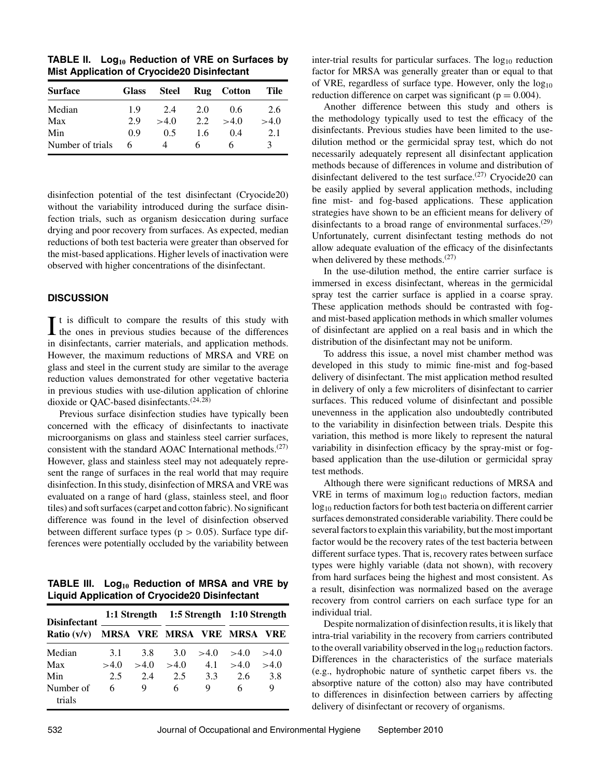**TABLE II. Log<sup>10</sup> Reduction of VRE on Surfaces by Mist Application of Cryocide20 Disinfectant**

| <b>Surface</b>   | <b>Glass</b> | <b>Steel</b> |     | Rug Cotton | Tile |
|------------------|--------------|--------------|-----|------------|------|
| Median           | 1.9          | 2.4          | 2.0 | 0.6        | 2.6  |
| Max              | 2.9          | >4.0         | 2.2 | >4.0       | >4.0 |
| Min              | 0.9          | 0.5          | 1.6 | 0.4        | 2.1  |
| Number of trials | 6            | 4            | h   |            | 3    |

disinfection potential of the test disinfectant (Cryocide20) without the variability introduced during the surface disinfection trials, such as organism desiccation during surface drying and poor recovery from surfaces. As expected, median reductions of both test bacteria were greater than observed for the mist-based applications. Higher levels of inactivation were observed with higher concentrations of the disinfectant.

# **DISCUSSION**

 $\prod$  t is difficult to compare the results of this study with the ones in previous studies because of the differences  $\mathbf{T}$  t is difficult to compare the results of this study with in disinfectants, carrier materials, and application methods. However, the maximum reductions of MRSA and VRE on glass and steel in the current study are similar to the average reduction values demonstrated for other vegetative bacteria in previous studies with use-dilution application of chlorine dioxide or QAC-based disinfectants.(24*,*28)

Previous surface disinfection studies have typically been concerned with the efficacy of disinfectants to inactivate microorganisms on glass and stainless steel carrier surfaces, consistent with the standard AOAC International methods.<sup>(27)</sup> However, glass and stainless steel may not adequately represent the range of surfaces in the real world that may require disinfection. In this study, disinfection of MRSA and VRE was evaluated on a range of hard (glass, stainless steel, and floor tiles) and soft surfaces (carpet and cotton fabric). No significant difference was found in the level of disinfection observed between different surface types (p *>* 0.05). Surface type differences were potentially occluded by the variability between

**TABLE III. Log<sup>10</sup> Reduction of MRSA and VRE by Liquid Application of Cryocide20 Disinfectant**

| <b>Disinfectant</b><br>Ratio $(v/v)$ |      |      | 1:1 Strength 1:5 Strength 1:10 Strength |      |      |            |
|--------------------------------------|------|------|-----------------------------------------|------|------|------------|
|                                      |      |      | MRSA VRE MRSA VRE MRSA                  |      |      | <b>VRE</b> |
| Median                               | 3.1  | 3.8  | 3.0                                     | >4.0 | >4.0 | >4.0       |
| Max                                  | >4.0 | >4.0 | >4.0                                    | 4.1  | >4.0 | >4.0       |
| Min                                  | 2.5  | 2.4  | 2.5                                     | 3.3  | 2.6  | 3.8        |
| Number of<br>trials                  | 6    | 9    | 6                                       | 9    | 6    | 9          |

inter-trial results for particular surfaces. The  $log_{10}$  reduction factor for MRSA was generally greater than or equal to that of VRE, regardless of surface type. However, only the  $log_{10}$ reduction difference on carpet was significant ( $p = 0.004$ ).

Another difference between this study and others is the methodology typically used to test the efficacy of the disinfectants. Previous studies have been limited to the usedilution method or the germicidal spray test, which do not necessarily adequately represent all disinfectant application methods because of differences in volume and distribution of disinfectant delivered to the test surface.<sup> $(27)$ </sup> Cryocide20 can be easily applied by several application methods, including fine mist- and fog-based applications. These application strategies have shown to be an efficient means for delivery of disinfectants to a broad range of environmental surfaces. $(29)$ Unfortunately, current disinfectant testing methods do not allow adequate evaluation of the efficacy of the disinfectants when delivered by these methods. $(27)$ 

In the use-dilution method, the entire carrier surface is immersed in excess disinfectant, whereas in the germicidal spray test the carrier surface is applied in a coarse spray. These application methods should be contrasted with fogand mist-based application methods in which smaller volumes of disinfectant are applied on a real basis and in which the distribution of the disinfectant may not be uniform.

To address this issue, a novel mist chamber method was developed in this study to mimic fine-mist and fog-based delivery of disinfectant. The mist application method resulted in delivery of only a few microliters of disinfectant to carrier surfaces. This reduced volume of disinfectant and possible unevenness in the application also undoubtedly contributed to the variability in disinfection between trials. Despite this variation, this method is more likely to represent the natural variability in disinfection efficacy by the spray-mist or fogbased application than the use-dilution or germicidal spray test methods.

Although there were significant reductions of MRSA and VRE in terms of maximum  $log_{10}$  reduction factors, median log<sub>10</sub> reduction factors for both test bacteria on different carrier surfaces demonstrated considerable variability. There could be several factors to explain this variability, but the most important factor would be the recovery rates of the test bacteria between different surface types. That is, recovery rates between surface types were highly variable (data not shown), with recovery from hard surfaces being the highest and most consistent. As a result, disinfection was normalized based on the average recovery from control carriers on each surface type for an individual trial.

Despite normalization of disinfection results, it is likely that intra-trial variability in the recovery from carriers contributed to the overall variability observed in the  $log_{10}$  reduction factors. Differences in the characteristics of the surface materials (e.g., hydrophobic nature of synthetic carpet fibers vs. the absorptive nature of the cotton) also may have contributed to differences in disinfection between carriers by affecting delivery of disinfectant or recovery of organisms.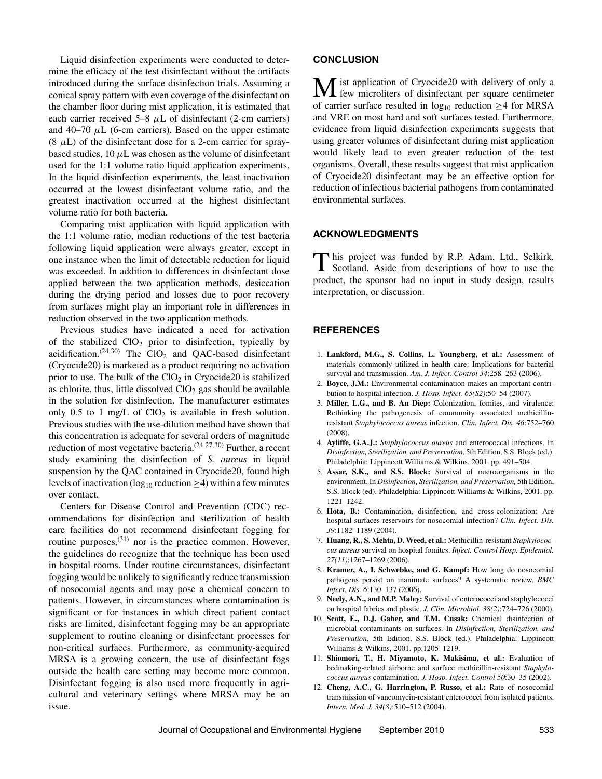Liquid disinfection experiments were conducted to determine the efficacy of the test disinfectant without the artifacts introduced during the surface disinfection trials. Assuming a conical spray pattern with even coverage of the disinfectant on the chamber floor during mist application, it is estimated that each carrier received  $5-8$   $\mu$ L of disinfectant (2-cm carriers) and 40–70  $\mu$ L (6-cm carriers). Based on the upper estimate  $(8 \mu L)$  of the disinfectant dose for a 2-cm carrier for spraybased studies,  $10 \mu L$  was chosen as the volume of disinfectant used for the 1:1 volume ratio liquid application experiments. In the liquid disinfection experiments, the least inactivation occurred at the lowest disinfectant volume ratio, and the greatest inactivation occurred at the highest disinfectant volume ratio for both bacteria.

Comparing mist application with liquid application with the 1:1 volume ratio, median reductions of the test bacteria following liquid application were always greater, except in one instance when the limit of detectable reduction for liquid was exceeded. In addition to differences in disinfectant dose applied between the two application methods, desiccation during the drying period and losses due to poor recovery from surfaces might play an important role in differences in reduction observed in the two application methods.

Previous studies have indicated a need for activation of the stabilized  $ClO<sub>2</sub>$  prior to disinfection, typically by acidification.<sup> $(24,30)$ </sup> The ClO<sub>2</sub> and QAC-based disinfectant (Cryocide20) is marketed as a product requiring no activation prior to use. The bulk of the  $ClO<sub>2</sub>$  in Cryocide20 is stabilized as chlorite, thus, little dissolved  $ClO<sub>2</sub>$  gas should be available in the solution for disinfection. The manufacturer estimates only 0.5 to 1 mg/L of  $CIO<sub>2</sub>$  is available in fresh solution. Previous studies with the use-dilution method have shown that this concentration is adequate for several orders of magnitude reduction of most vegetative bacteria.(24*,*27*,*30) Further, a recent study examining the disinfection of *S. aureus* in liquid suspension by the QAC contained in Cryocide20, found high levels of inactivation ( $log_{10}$  reduction  $\geq$ 4) within a few minutes over contact.

Centers for Disease Control and Prevention (CDC) recommendations for disinfection and sterilization of health care facilities do not recommend disinfectant fogging for routine purposes,<sup>(31)</sup> nor is the practice common. However, the guidelines do recognize that the technique has been used in hospital rooms. Under routine circumstances, disinfectant fogging would be unlikely to significantly reduce transmission of nosocomial agents and may pose a chemical concern to patients. However, in circumstances where contamination is significant or for instances in which direct patient contact risks are limited, disinfectant fogging may be an appropriate supplement to routine cleaning or disinfectant processes for non-critical surfaces. Furthermore, as community-acquired MRSA is a growing concern, the use of disinfectant fogs outside the health care setting may become more common. Disinfectant fogging is also used more frequently in agricultural and veterinary settings where MRSA may be an issue.

## **CONCLUSION**

M ist application of Cryocide20 with delivery of only a few microliters of disinfectant per square centimeter of carrier surface resulted in  $log_{10}$  reduction  $\geq$ 4 for MRSA and VRE on most hard and soft surfaces tested. Furthermore, evidence from liquid disinfection experiments suggests that using greater volumes of disinfectant during mist application would likely lead to even greater reduction of the test organisms. Overall, these results suggest that mist application of Cryocide20 disinfectant may be an effective option for reduction of infectious bacterial pathogens from contaminated environmental surfaces.

# **ACKNOWLEDGMENTS**

This project was funded by R.P. Adam, Ltd., Selkirk, Scotland. Aside from descriptions of how to use the product, the sponsor had no input in study design, results interpretation, or discussion.

## **REFERENCES**

- 1. **Lankford, M.G., S. Collins, L. Youngberg, et al.:** Assessment of materials commonly utilized in health care: Implications for bacterial survival and transmission. *Am. J. Infect. Control 34*:258–263 (2006).
- 2. **Boyce, J.M.:** Environmental contamination makes an important contribution to hospital infection. *J. Hosp. Infect. 65(S2)*:50–54 (2007).
- 3. **Miller, L.G., and B. An Diep:** Colonization, fomites, and virulence: Rethinking the pathogenesis of community associated methicillinresistant *Staphylococcus aureus* infection. *Clin. Infect. Dis. 46*:752–760 (2008).
- 4. **Ayliffe, G.A.J.:** *Staphylococcus aureus* and enterococcal infections. In *Disinfection, Sterilization, and Preservation,* 5th Edition, S.S. Block (ed.). Philadelphia: Lippincott Williams & Wilkins, 2001. pp. 491–504.
- 5. **Assar, S.K., and S.S. Block:** Survival of microorganisms in the environment. In *Disinfection, Sterilization, and Preservation,* 5th Edition, S.S. Block (ed). Philadelphia: Lippincott Williams & Wilkins, 2001. pp. 1221–1242.
- 6. **Hota, B.:** Contamination, disinfection, and cross-colonization: Are hospital surfaces reservoirs for nosocomial infection? *Clin. Infect. Dis. 39*:1182–1189 (2004).
- 7. **Huang, R., S. Mehta, D. Weed, et al.:** Methicillin-resistant *Staphylococcus aureus* survival on hospital fomites. *Infect. Control Hosp. Epidemiol. 27(11)*:1267–1269 (2006).
- 8. **Kramer, A., I. Schwebke, and G. Kampf:** How long do nosocomial pathogens persist on inanimate surfaces? A systematic review. *BMC Infect. Dis. 6*:130–137 (2006).
- 9. **Neely, A.N., and M.P. Maley:** Survival of enterococci and staphylococci on hospital fabrics and plastic. *J. Clin. Microbiol. 38(2)*:724–726 (2000).
- 10. **Scott, E., D.J. Gaber, and T.M. Cusak:** Chemical disinfection of microbial contaminants on surfaces. In *Disinfection, Sterilization, and Preservation,* 5th Edition, S.S. Block (ed.). Philadelphia: Lippincott Williams & Wilkins, 2001. pp.1205–1219.
- 11. **Shiomori, T., H. Miyamoto, K. Makisima, et al.:** Evaluation of bedmaking-related airborne and surface methicillin-resistant *Staphylococcus aureus* contamination. *J. Hosp. Infect. Control 50*:30–35 (2002).
- 12. **Cheng, A.C., G. Harrington, P. Russo, et al.:** Rate of nosocomial transmission of vancomycin-resistant enterococci from isolated patients. *Intern. Med. J. 34(8)*:510–512 (2004).